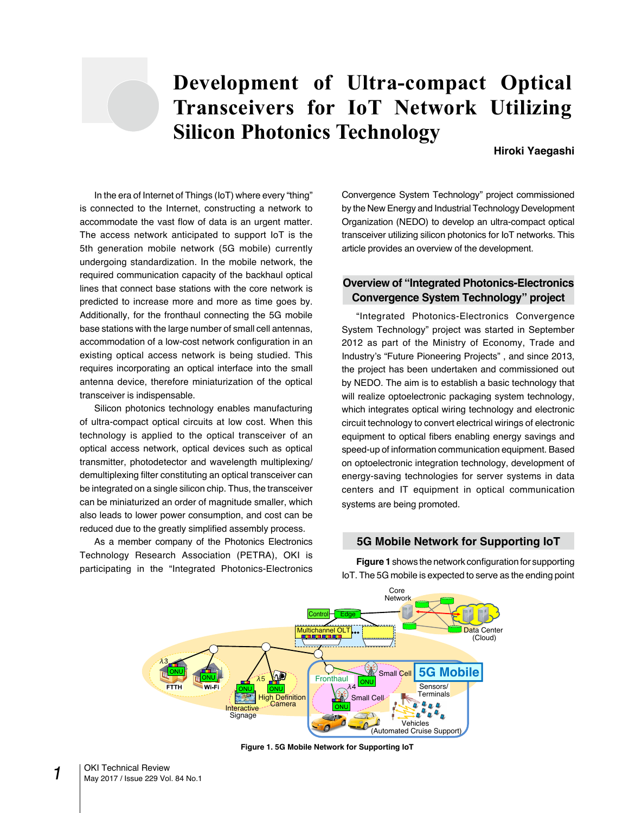# **Development of Ultra-compact Optical Transceivers for IoT Network Utilizing Silicon Photonics Technology**

## **Hiroki Yaegashi**

In the era of Internet of Things (IoT) where every "thing" is connected to the Internet, constructing a network to accommodate the vast flow of data is an urgent matter. The access network anticipated to support IoT is the 5th generation mobile network (5G mobile) currently undergoing standardization. In the mobile network, the required communication capacity of the backhaul optical lines that connect base stations with the core network is predicted to increase more and more as time goes by. Additionally, for the fronthaul connecting the 5G mobile base stations with the large number of small cell antennas, accommodation of a low-cost network configuration in an existing optical access network is being studied. This requires incorporating an optical interface into the small antenna device, therefore miniaturization of the optical transceiver is indispensable.

Silicon photonics technology enables manufacturing of ultra-compact optical circuits at low cost. When this technology is applied to the optical transceiver of an optical access network, optical devices such as optical transmitter, photodetector and wavelength multiplexing/ demultiplexing filter constituting an optical transceiver can be integrated on a single silicon chip. Thus, the transceiver can be miniaturized an order of magnitude smaller, which also leads to lower power consumption, and cost can be reduced due to the greatly simplified assembly process.

As a member company of the Photonics Electronics Technology Research Association (PETRA), OKI is participating in the "Integrated Photonics-Electronics Convergence System Technology" project commissioned by the New Energy and Industrial Technology Development Organization (NEDO) to develop an ultra-compact optical transceiver utilizing silicon photonics for IoT networks. This article provides an overview of the development.

# **Overview of "Integrated Photonics-Electronics Convergence System Technology" project**

"Integrated Photonics-Electronics Convergence System Technology" project was started in September 2012 as part of the Ministry of Economy, Trade and Industry's "Future Pioneering Projects" , and since 2013, the project has been undertaken and commissioned out by NEDO. The aim is to establish a basic technology that will realize optoelectronic packaging system technology, which integrates optical wiring technology and electronic circuit technology to convert electrical wirings of electronic equipment to optical fibers enabling energy savings and speed-up of information communication equipment. Based on optoelectronic integration technology, development of energy-saving technologies for server systems in data centers and IT equipment in optical communication systems are being promoted.

# **5G Mobile Network for Supporting IoT**



**Figure 1** shows the network configuration for supporting IoT. The 5G mobile is expected to serve as the ending point

**Figure 1. 5G Mobile Network for Supporting IoT**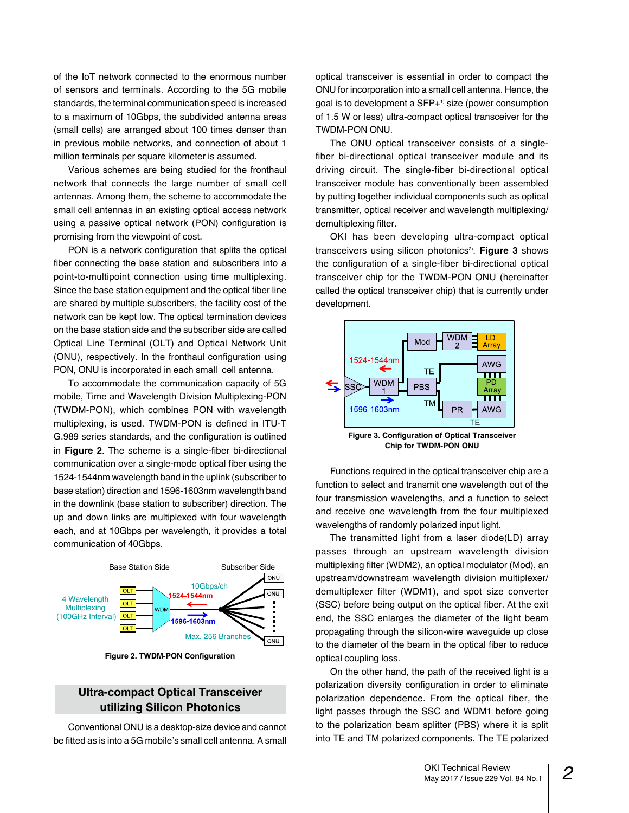of the IoT network connected to the enormous number of sensors and terminals. According to the 5G mobile standards, the terminal communication speed is increased to a maximum of 10Gbps, the subdivided antenna areas (small cells) are arranged about 100 times denser than in previous mobile networks, and connection of about 1 million terminals per square kilometer is assumed.

Various schemes are being studied for the fronthaul network that connects the large number of small cell antennas. Among them, the scheme to accommodate the small cell antennas in an existing optical access network using a passive optical network (PON) configuration is promising from the viewpoint of cost.

PON is a network configuration that splits the optical fiber connecting the base station and subscribers into a point-to-multipoint connection using time multiplexing. Since the base station equipment and the optical fiber line are shared by multiple subscribers, the facility cost of the network can be kept low. The optical termination devices on the base station side and the subscriber side are called Optical Line Terminal (OLT) and Optical Network Unit (ONU), respectively. In the fronthaul configuration using PON, ONU is incorporated in each small cell antenna.

To accommodate the communication capacity of 5G mobile, Time and Wavelength Division Multiplexing-PON (TWDM-PON), which combines PON with wavelength multiplexing, is used. TWDM-PON is defined in ITU-T G.989 series standards, and the configuration is outlined in **Figure 2**. The scheme is a single-fiber bi-directional communication over a single-mode optical fiber using the 1524-1544nm wavelength band in the uplink (subscriber to base station) direction and 1596-1603nm wavelength band in the downlink (base station to subscriber) direction. The up and down links are multiplexed with four wavelength each, and at 10Gbps per wavelength, it provides a total communication of 40Gbps.



**Figure 2. TWDM-PON Configuration**

# **Ultra-compact Optical Transceiver utilizing Silicon Photonics**

Conventional ONU is a desktop-size device and cannot be fitted as is into a 5G mobile's small cell antenna. A small optical transceiver is essential in order to compact the ONU for incorporation into a small cell antenna. Hence, the goal is to development a SFP+1) size (power consumption of 1.5 W or less) ultra-compact optical transceiver for the TWDM-PON ONU.

The ONU optical transceiver consists of a singlefiber bi-directional optical transceiver module and its driving circuit. The single-fiber bi-directional optical transceiver module has conventionally been assembled by putting together individual components such as optical transmitter, optical receiver and wavelength multiplexing/ demultiplexing filter.

OKI has been developing ultra-compact optical transceivers using silicon photonics<sup>2</sup>. Figure 3 shows the configuration of a single-fiber bi-directional optical transceiver chip for the TWDM-PON ONU (hereinafter called the optical transceiver chip) that is currently under development.



**Figure 3. Configuration of Optical Transceiver Chip for TWDM-PON ONU**

Functions required in the optical transceiver chip are a function to select and transmit one wavelength out of the four transmission wavelengths, and a function to select and receive one wavelength from the four multiplexed wavelengths of randomly polarized input light.

The transmitted light from a laser diode(LD) array passes through an upstream wavelength division multiplexing filter (WDM2), an optical modulator (Mod), an upstream/downstream wavelength division multiplexer/ demultiplexer filter (WDM1), and spot size converter (SSC) before being output on the optical fiber. At the exit end, the SSC enlarges the diameter of the light beam propagating through the silicon-wire waveguide up close to the diameter of the beam in the optical fiber to reduce optical coupling loss.

On the other hand, the path of the received light is a polarization diversity configuration in order to eliminate polarization dependence. From the optical fiber, the light passes through the SSC and WDM1 before going to the polarization beam splitter (PBS) where it is split into TE and TM polarized components. The TE polarized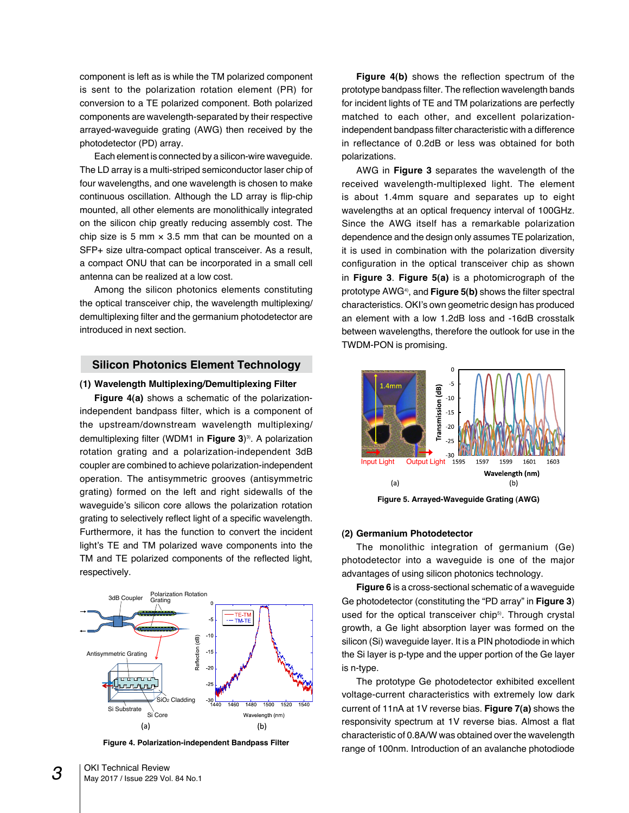component is left as is while the TM polarized component is sent to the polarization rotation element (PR) for conversion to a TE polarized component. Both polarized components are wavelength-separated by their respective arrayed-waveguide grating (AWG) then received by the photodetector (PD) array.

Each element is connected by a silicon-wire waveguide. The LD array is a multi-striped semiconductor laser chip of four wavelengths, and one wavelength is chosen to make continuous oscillation. Although the LD array is flip-chip mounted, all other elements are monolithically integrated on the silicon chip greatly reducing assembly cost. The chip size is 5 mm  $\times$  3.5 mm that can be mounted on a SFP+ size ultra-compact optical transceiver. As a result, a compact ONU that can be incorporated in a small cell antenna can be realized at a low cost.

Among the silicon photonics elements constituting the optical transceiver chip, the wavelength multiplexing/ demultiplexing filter and the germanium photodetector are introduced in next section.

## **Silicon Photonics Element Technology**

### **(1) Wavelength Multiplexing/Demultiplexing Filter**

**Figure 4(a)** shows a schematic of the polarizationindependent bandpass filter, which is a component of the upstream/downstream wavelength multiplexing/ demultiplexing filter (WDM1 in Figure 3)<sup>3)</sup>. A polarization rotation grating and a polarization-independent 3dB coupler are combined to achieve polarization-independent operation. The antisymmetric grooves (antisymmetric grating) formed on the left and right sidewalls of the waveguide's silicon core allows the polarization rotation grating to selectively reflect light of a specific wavelength. Furthermore, it has the function to convert the incident light's TE and TM polarized wave components into the TM and TE polarized components of the reflected light, respectively.



**Figure 4. Polarization-independent Bandpass Filter**

**Figure 4(b)** shows the reflection spectrum of the prototype bandpass filter. The reflection wavelength bands for incident lights of TE and TM polarizations are perfectly matched to each other, and excellent polarizationindependent bandpass filter characteristic with a difference in reflectance of 0.2dB or less was obtained for both polarizations.

AWG in **Figure 3** separates the wavelength of the received wavelength-multiplexed light. The element is about 1.4mm square and separates up to eight wavelengths at an optical frequency interval of 100GHz. Since the AWG itself has a remarkable polarization dependence and the design only assumes TE polarization, it is used in combination with the polarization diversity configuration in the optical transceiver chip as shown in **Figure 3**. **Figure 5(a)** is a photomicrograph of the prototype AWG4), and **Figure 5(b)** shows the filter spectral characteristics. OKI's own geometric design has produced an element with a low 1.2dB loss and -16dB crosstalk between wavelengths, therefore the outlook for use in the TWDM-PON is promising.



**Figure 5. Arrayed-Waveguide Grating (AWG)**

#### **(2) Germanium Photodetector**

The monolithic integration of germanium (Ge) photodetector into a waveguide is one of the major advantages of using silicon photonics technology.

**Figure 6** is a cross-sectional schematic of a waveguide Ge photodetector (constituting the "PD array" in **Figure 3**) used for the optical transceiver chip<sup>5)</sup>. Through crystal growth, a Ge light absorption layer was formed on the silicon (Si) waveguide layer. It is a PIN photodiode in which the Si layer is p-type and the upper portion of the Ge layer is n-type.

The prototype Ge photodetector exhibited excellent voltage-current characteristics with extremely low dark current of 11nA at 1V reverse bias. **Figure 7(a)** shows the responsivity spectrum at 1V reverse bias. Almost a flat characteristic of 0.8A/W was obtained over the wavelength range of 100nm. Introduction of an avalanche photodiode